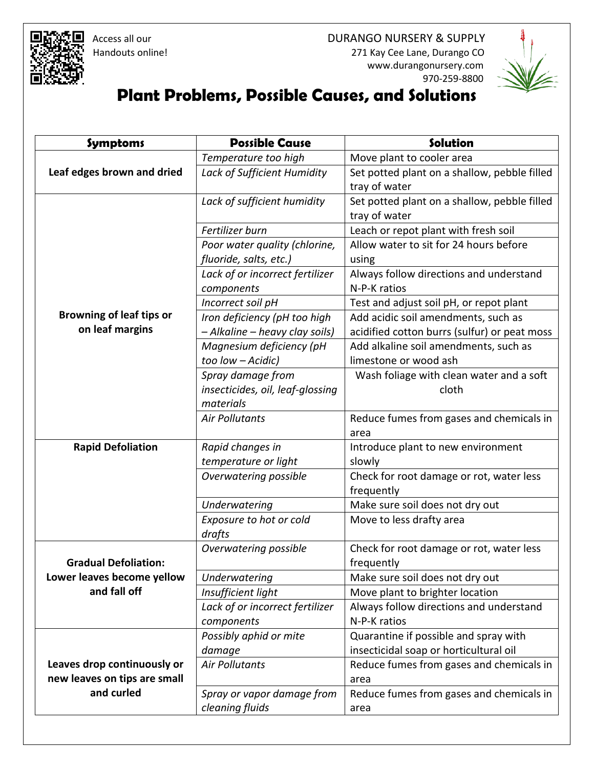



## **Plant Problems, Possible Causes, and Solutions**

| <b>Symptoms</b>                 | <b>Possible Cause</b>            | Solution                                     |
|---------------------------------|----------------------------------|----------------------------------------------|
|                                 | Temperature too high             | Move plant to cooler area                    |
| Leaf edges brown and dried      | Lack of Sufficient Humidity      | Set potted plant on a shallow, pebble filled |
|                                 |                                  | tray of water                                |
|                                 | Lack of sufficient humidity      | Set potted plant on a shallow, pebble filled |
|                                 |                                  | tray of water                                |
|                                 | Fertilizer burn                  | Leach or repot plant with fresh soil         |
|                                 | Poor water quality (chlorine,    | Allow water to sit for 24 hours before       |
|                                 | fluoride, salts, etc.)           | using                                        |
|                                 | Lack of or incorrect fertilizer  | Always follow directions and understand      |
|                                 | components                       | N-P-K ratios                                 |
|                                 | Incorrect soil pH                | Test and adjust soil pH, or repot plant      |
| <b>Browning of leaf tips or</b> | Iron deficiency (pH too high     | Add acidic soil amendments, such as          |
| on leaf margins                 | - Alkaline - heavy clay soils)   | acidified cotton burrs (sulfur) or peat moss |
|                                 | Magnesium deficiency (pH         | Add alkaline soil amendments, such as        |
|                                 | too low - Acidic)                | limestone or wood ash                        |
|                                 | Spray damage from                | Wash foliage with clean water and a soft     |
|                                 | insecticides, oil, leaf-glossing | cloth                                        |
|                                 | materials                        |                                              |
|                                 | <b>Air Pollutants</b>            | Reduce fumes from gases and chemicals in     |
|                                 |                                  | area                                         |
| <b>Rapid Defoliation</b>        | Rapid changes in                 | Introduce plant to new environment           |
|                                 | temperature or light             | slowly                                       |
|                                 | Overwatering possible            | Check for root damage or rot, water less     |
|                                 |                                  | frequently                                   |
|                                 | <b>Underwatering</b>             | Make sure soil does not dry out              |
|                                 | Exposure to hot or cold          | Move to less drafty area                     |
|                                 | drafts                           |                                              |
|                                 | Overwatering possible            | Check for root damage or rot, water less     |
| <b>Gradual Defoliation:</b>     |                                  | frequently                                   |
| Lower leaves become yellow      | Underwatering                    | Make sure soil does not dry out              |
| and fall off                    | Insufficient light               | Move plant to brighter location              |
|                                 | Lack of or incorrect fertilizer  | Always follow directions and understand      |
|                                 | components                       | N-P-K ratios                                 |
|                                 | Possibly aphid or mite           | Quarantine if possible and spray with        |
|                                 | damage                           | insecticidal soap or horticultural oil       |
| Leaves drop continuously or     | <b>Air Pollutants</b>            | Reduce fumes from gases and chemicals in     |
| new leaves on tips are small    |                                  | area                                         |
| and curled                      | Spray or vapor damage from       | Reduce fumes from gases and chemicals in     |
|                                 | cleaning fluids                  | area                                         |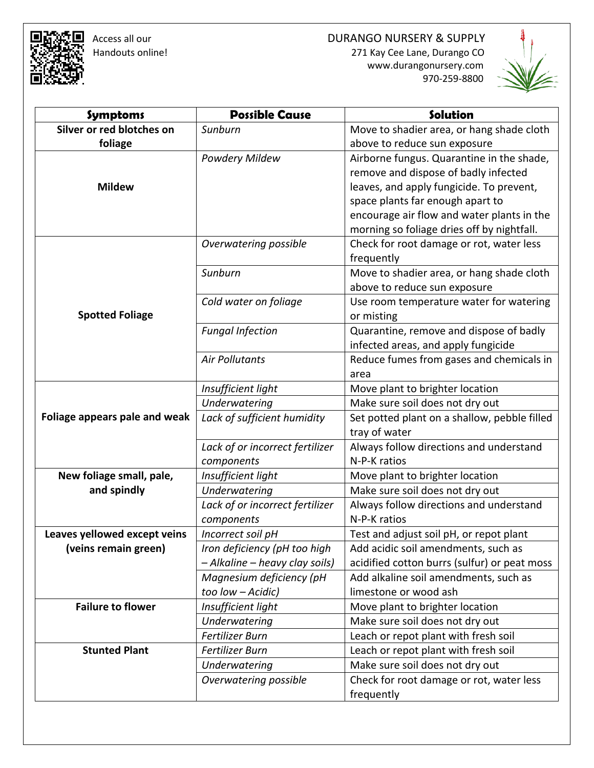□ Access all our development of the DURANGO NURSERY & SUPPLY<br>R+ Handouts online! the control of the control of the 271 Kay Cee Lane, Durango CO 271 Kay Cee Lane, Durango CO www.durangonursery.com

970-259-8800



| <b>Symptoms</b>               | <b>Possible Cause</b>           | Solution                                     |
|-------------------------------|---------------------------------|----------------------------------------------|
| Silver or red blotches on     | Sunburn                         | Move to shadier area, or hang shade cloth    |
| foliage                       |                                 | above to reduce sun exposure                 |
|                               | Powdery Mildew                  | Airborne fungus. Quarantine in the shade,    |
|                               |                                 | remove and dispose of badly infected         |
| <b>Mildew</b>                 |                                 | leaves, and apply fungicide. To prevent,     |
|                               |                                 | space plants far enough apart to             |
|                               |                                 | encourage air flow and water plants in the   |
|                               |                                 | morning so foliage dries off by nightfall.   |
|                               | Overwatering possible           | Check for root damage or rot, water less     |
|                               |                                 | frequently                                   |
|                               | Sunburn                         | Move to shadier area, or hang shade cloth    |
| <b>Spotted Foliage</b>        |                                 | above to reduce sun exposure                 |
|                               | Cold water on foliage           | Use room temperature water for watering      |
|                               |                                 | or misting                                   |
|                               | <b>Fungal Infection</b>         | Quarantine, remove and dispose of badly      |
|                               |                                 | infected areas, and apply fungicide          |
|                               | <b>Air Pollutants</b>           | Reduce fumes from gases and chemicals in     |
|                               |                                 | area                                         |
|                               | Insufficient light              | Move plant to brighter location              |
|                               | Underwatering                   | Make sure soil does not dry out              |
| Foliage appears pale and weak | Lack of sufficient humidity     | Set potted plant on a shallow, pebble filled |
|                               |                                 | tray of water                                |
|                               | Lack of or incorrect fertilizer | Always follow directions and understand      |
|                               | components                      | N-P-K ratios                                 |
| New foliage small, pale,      | Insufficient light              | Move plant to brighter location              |
| and spindly                   | <b>Underwatering</b>            | Make sure soil does not dry out              |
|                               | Lack of or incorrect fertilizer | Always follow directions and understand      |
|                               | components                      | N-P-K ratios                                 |
| Leaves yellowed except veins  | Incorrect soil pH               | Test and adjust soil pH, or repot plant      |
| (veins remain green)          | Iron deficiency (pH too high    | Add acidic soil amendments, such as          |
|                               | - Alkaline - heavy clay soils)  | acidified cotton burrs (sulfur) or peat moss |
|                               | Magnesium deficiency (pH        | Add alkaline soil amendments, such as        |
|                               | too low - Acidic)               | limestone or wood ash                        |
| <b>Failure to flower</b>      | Insufficient light              | Move plant to brighter location              |
|                               | Underwatering                   | Make sure soil does not dry out              |
|                               | Fertilizer Burn                 | Leach or repot plant with fresh soil         |
| <b>Stunted Plant</b>          | Fertilizer Burn                 | Leach or repot plant with fresh soil         |
|                               | <b>Underwatering</b>            | Make sure soil does not dry out              |
|                               | Overwatering possible           | Check for root damage or rot, water less     |
|                               |                                 | frequently                                   |